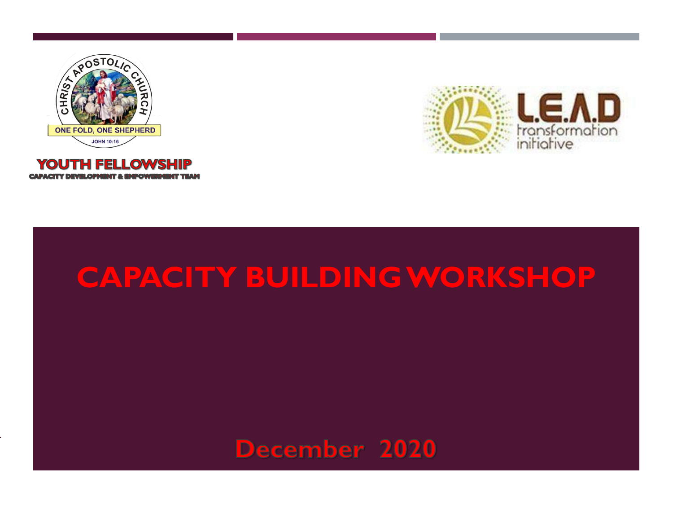





## **CAPACITY BUILDING WORKSHOP**

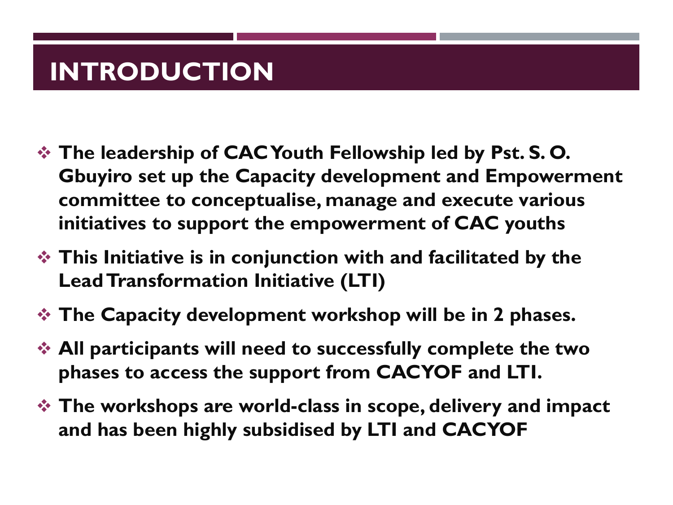### **INTRODUCTION**

- ❖ **The leadership of CAC Youth Fellowship led by Pst. S. O. Gbuyiro set up the Capacity development and Empowerment committee to conceptualise, manage and execute various initiatives to support the empowerment of CAC youths**
- ❖ **This Initiative is in conjunction with and facilitated by the Lead Transformation Initiative (LTI)**
- ❖ **The Capacity development workshop will be in 2 phases.**
- ❖ **All participants will need to successfully complete the two phases to access the support from CACYOF and LTI.**
- ❖ **The workshops are world-class in scope, delivery and impact and has been highly subsidised by LTI and CACYOF**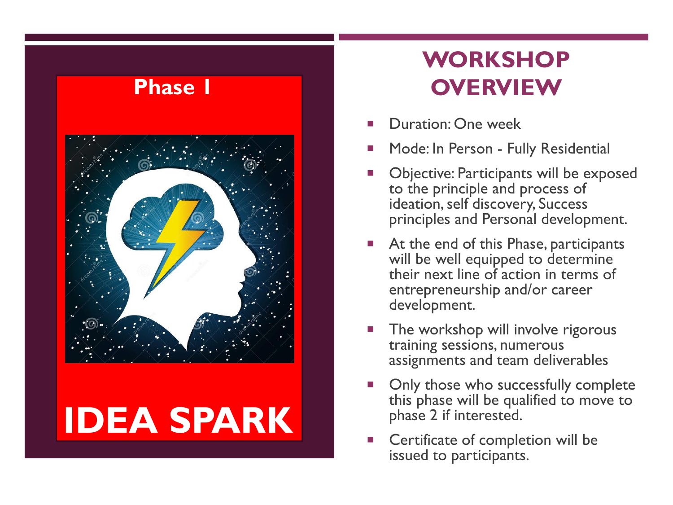

## **IDEA SPARK**

### **WORKSHOP OVERVIEW**

- Duration: One week
- Mode: In Person Fully Residential
- **Diective: Participants will be exposed** to the principle and process of ideation, self discovery, Success principles and Personal development.
- At the end of this Phase, participants will be well equipped to determine their next line of action in terms of entrepreneurship and/or career development.
- The workshop will involve rigorous training sessions, numerous assignments and team deliverables
- Only those who successfully complete this phase will be qualified to move to phase 2 if interested.
- Certificate of completion will be issued to participants.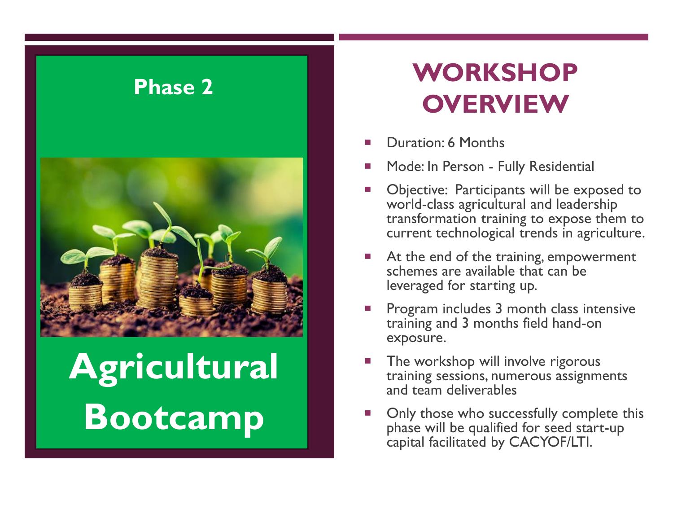

# **Agricultural Bootcamp**

**WORKSHOP OVERVIEW** 

- Duration: 6 Months
- Mode: In Person Fully Residential
- Objective: Participants will be exposed to world-class agricultural and leadership transformation training to expose them to current technological trends in agriculture.
- At the end of the training, empowerment schemes are available that can be leveraged for starting up.
- Program includes 3 month class intensive training and 3 months field hand-on exposure.
- The workshop will involve rigorous training sessions, numerous assignments and team deliverables
- Only those who successfully complete this phase will be qualified for seed start-up capital facilitated by CACYOF/LTI.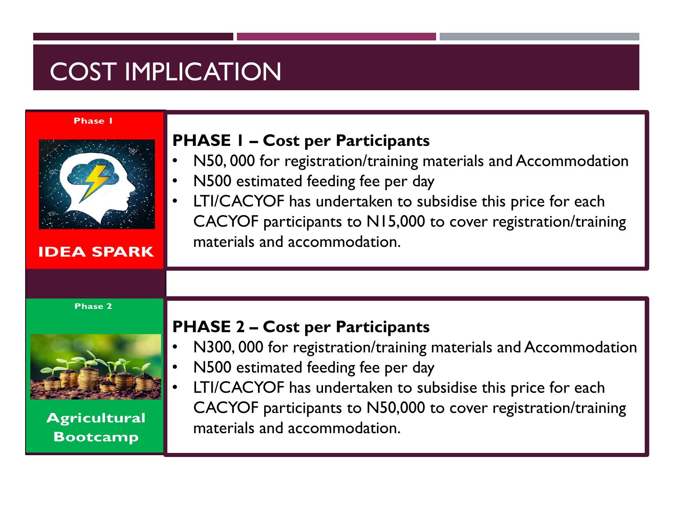### COST IMPLICATION

#### **Phase I**

| <b>IDEA SPARK</b>                                        | <b>PHASE I - Cost per Participants</b><br>N50, 000 for registration/training materials and Accommodation<br>N500 estimated feeding fee per day<br>LTI/CACYOF has undertaken to subsidise this price for each<br>CACYOF participants to N15,000 to cover registration/training<br>materials and accommodation.  |
|----------------------------------------------------------|----------------------------------------------------------------------------------------------------------------------------------------------------------------------------------------------------------------------------------------------------------------------------------------------------------------|
|                                                          |                                                                                                                                                                                                                                                                                                                |
| <b>Phase 2</b><br><b>Agricultural</b><br><b>Bootcamp</b> | <b>PHASE 2 – Cost per Participants</b><br>N300, 000 for registration/training materials and Accommodation<br>N500 estimated feeding fee per day<br>LTI/CACYOF has undertaken to subsidise this price for each<br>CACYOF participants to N50,000 to cover registration/training<br>materials and accommodation. |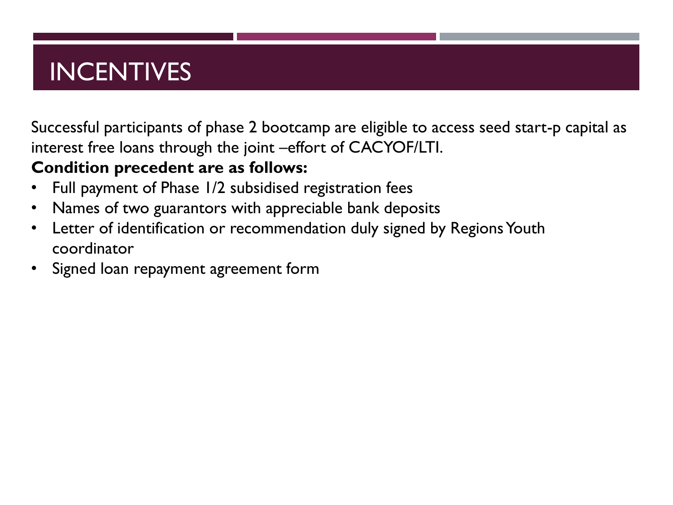### INCENTIVES

Successful participants of phase 2 bootcamp are eligible to access seed start-p capital as interest free loans through the joint –effort of CACYOF/LTI.

### **Condition precedent are as follows:**

- Full payment of Phase 1/2 subsidised registration fees
- Names of two guarantors with appreciable bank deposits
- Letter of identification or recommendation duly signed by Regions Youth coordinator
- Signed loan repayment agreement form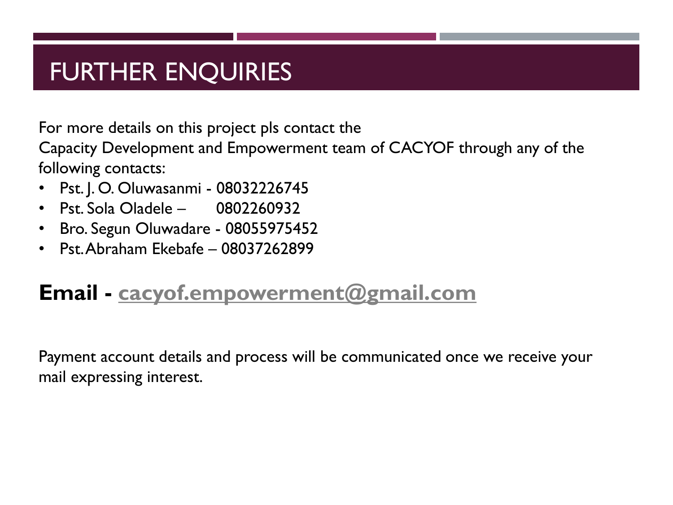### FURTHER ENQUIRIES

For more details on this project pls contact the

Capacity Development and Empowerment team of CACYOF through any of the following contacts:

- Pst. J. O. Oluwasanmi 08032226745
- Pst. Sola Oladele 0802260932
- Bro. Segun Oluwadare 08055975452
- Pst. Abraham Ekebafe 08037262899

### **Email - [cacyof.empowerment@gmail.com](mailto:cacyof.empowerment@gmail.com)**

Payment account details and process will be communicated once we receive your mail expressing interest.